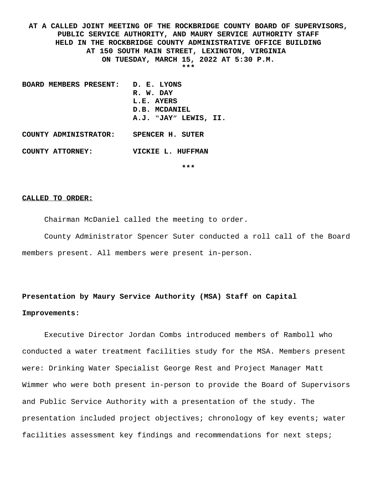**AT A CALLED JOINT MEETING OF THE ROCKBRIDGE COUNTY BOARD OF SUPERVISORS, PUBLIC SERVICE AUTHORITY, AND MAURY SERVICE AUTHORITY STAFF HELD IN THE ROCKBRIDGE COUNTY ADMINISTRATIVE OFFICE BUILDING AT 150 SOUTH MAIN STREET, LEXINGTON, VIRGINIA ON TUESDAY, MARCH 15, 2022 AT 5:30 P.M. \*\*\***

**BOARD MEMBERS PRESENT: D. E. LYONS R. W. DAY L.E. AYERS D.B. MCDANIEL A.J. "JAY" LEWIS, II. COUNTY ADMINISTRATOR: SPENCER H. SUTER**

**COUNTY ATTORNEY: VICKIE L. HUFFMAN**

**\*\*\***

#### **CALLED TO ORDER:**

Chairman McDaniel called the meeting to order.

County Administrator Spencer Suter conducted a roll call of the Board members present. All members were present in-person.

# **Presentation by Maury Service Authority (MSA) Staff on Capital Improvements:**

Executive Director Jordan Combs introduced members of Ramboll who conducted a water treatment facilities study for the MSA. Members present were: Drinking Water Specialist George Rest and Project Manager Matt Wimmer who were both present in-person to provide the Board of Supervisors and Public Service Authority with a presentation of the study. The presentation included project objectives; chronology of key events; water facilities assessment key findings and recommendations for next steps;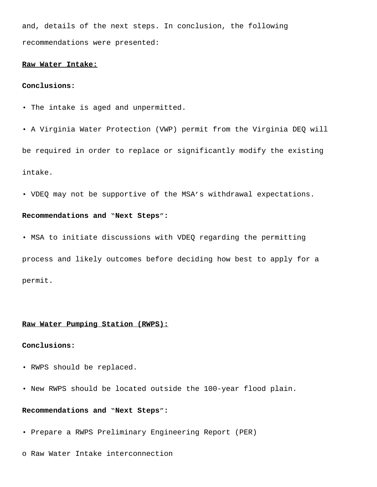and, details of the next steps. In conclusion, the following recommendations were presented:

# **Raw Water Intake:**

## **Conclusions:**

- The intake is aged and unpermitted.
- A Virginia Water Protection (VWP) permit from the Virginia DEQ will

be required in order to replace or significantly modify the existing intake.

• VDEQ may not be supportive of the MSA's withdrawal expectations.

## **Recommendations and "Next Steps":**

• MSA to initiate discussions with VDEQ regarding the permitting

process and likely outcomes before deciding how best to apply for a permit.

## **Raw Water Pumping Station (RWPS):**

# **Conclusions:**

- RWPS should be replaced.
- New RWPS should be located outside the 100-year flood plain.

# **Recommendations and "Next Steps":**

- Prepare a RWPS Preliminary Engineering Report (PER)
- o Raw Water Intake interconnection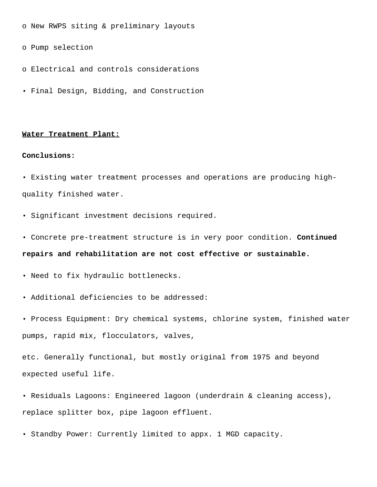o New RWPS siting & preliminary layouts

o Pump selection

- o Electrical and controls considerations
- Final Design, Bidding, and Construction

#### **Water Treatment Plant:**

## **Conclusions:**

• Existing water treatment processes and operations are producing highquality finished water.

- Significant investment decisions required.
- Concrete pre-treatment structure is in very poor condition. **Continued repairs and rehabilitation are not cost effective or sustainable.**
- Need to fix hydraulic bottlenecks.
- Additional deficiencies to be addressed:
- Process Equipment: Dry chemical systems, chlorine system, finished water pumps, rapid mix, flocculators, valves,

etc. Generally functional, but mostly original from 1975 and beyond expected useful life.

- Residuals Lagoons: Engineered lagoon (underdrain & cleaning access), replace splitter box, pipe lagoon effluent.
- Standby Power: Currently limited to appx. 1 MGD capacity.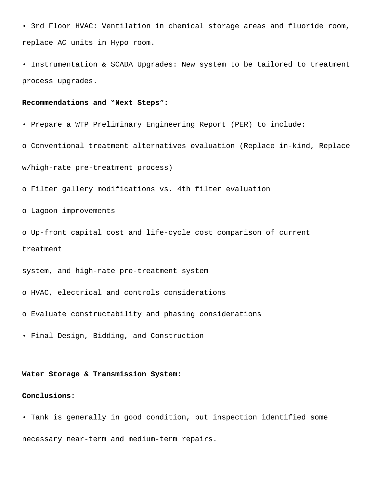• 3rd Floor HVAC: Ventilation in chemical storage areas and fluoride room, replace AC units in Hypo room.

• Instrumentation & SCADA Upgrades: New system to be tailored to treatment process upgrades.

## **Recommendations and "Next Steps":**

• Prepare a WTP Preliminary Engineering Report (PER) to include:

o Conventional treatment alternatives evaluation (Replace in-kind, Replace

w/high-rate pre-treatment process)

o Filter gallery modifications vs. 4th filter evaluation

o Lagoon improvements

o Up-front capital cost and life-cycle cost comparison of current treatment

system, and high-rate pre-treatment system

o HVAC, electrical and controls considerations

o Evaluate constructability and phasing considerations

• Final Design, Bidding, and Construction

## **Water Storage & Transmission System:**

## **Conclusions:**

• Tank is generally in good condition, but inspection identified some necessary near-term and medium-term repairs.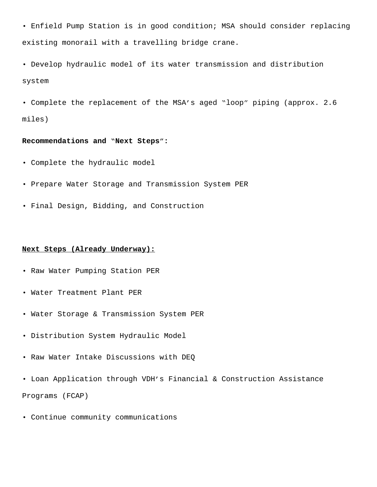- Enfield Pump Station is in good condition; MSA should consider replacing existing monorail with a travelling bridge crane.
- Develop hydraulic model of its water transmission and distribution system
- Complete the replacement of the MSA's aged "loop" piping (approx. 2.6 miles)

## **Recommendations and "Next Steps":**

- Complete the hydraulic model
- Prepare Water Storage and Transmission System PER
- Final Design, Bidding, and Construction

## **Next Steps (Already Underway):**

- Raw Water Pumping Station PER
- Water Treatment Plant PER
- Water Storage & Transmission System PER
- Distribution System Hydraulic Model
- Raw Water Intake Discussions with DEQ
- Loan Application through VDH's Financial & Construction Assistance Programs (FCAP)
- Continue community communications